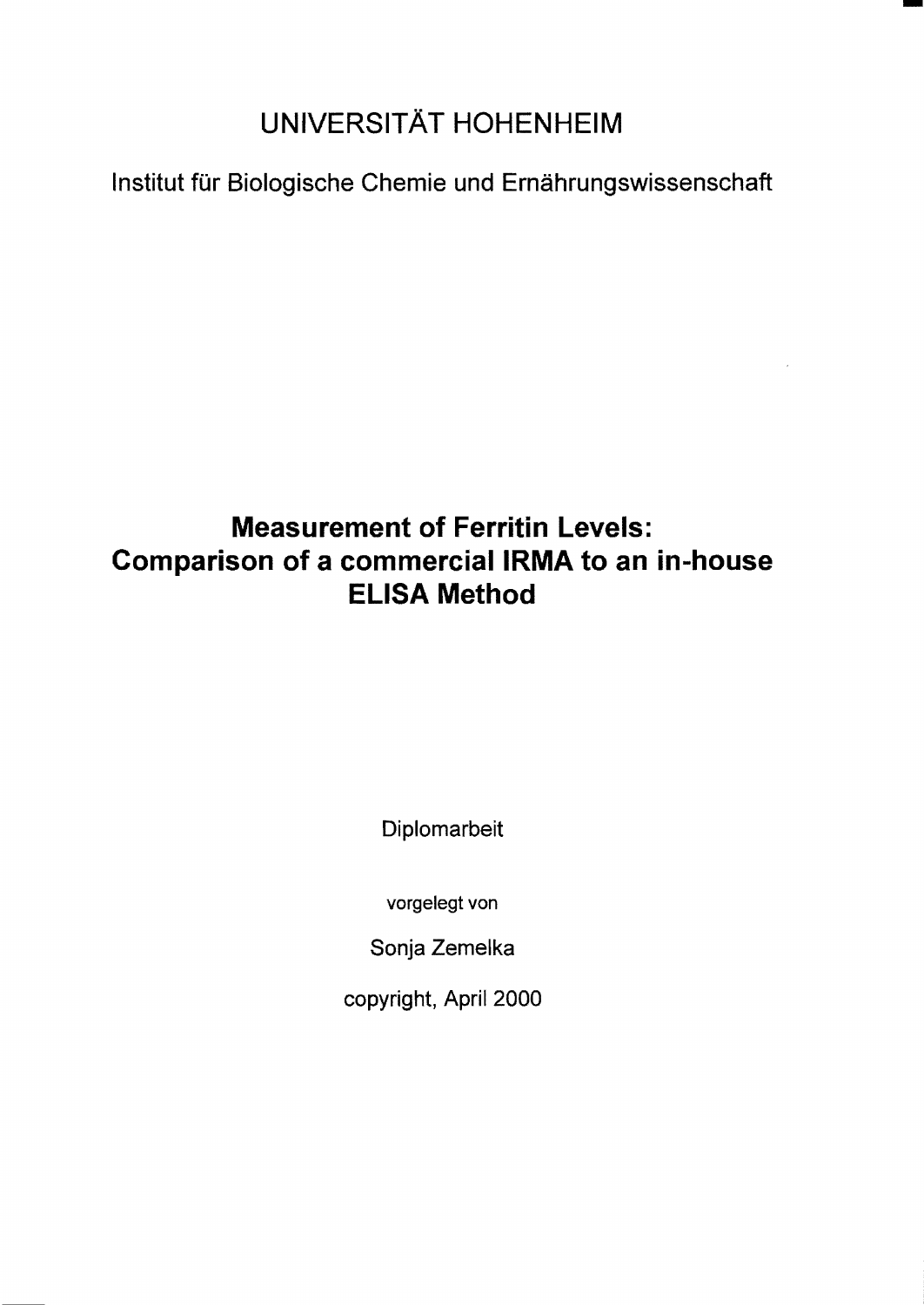## UNIVERSITÄT HOHENHEIM

Institut für Biologische Chemie und Ernährungswissenschaft

## Measurement of Ferritin Levels: Comparison of a commercial IRMA to an in-house ELISA Method

Diplomarbeit

vorgelegt von

Sonja Zemelka

copyright, April 2000